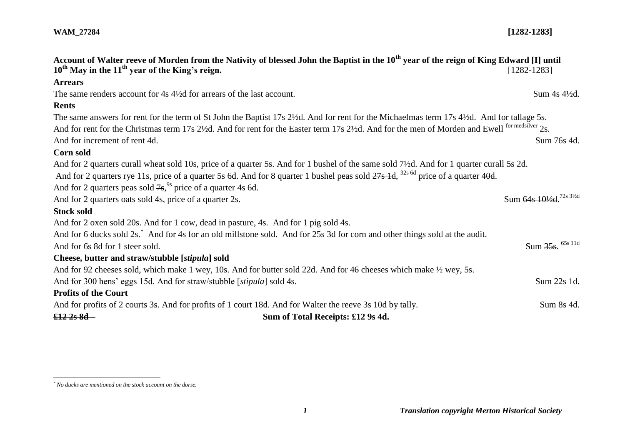| $10^{th}$ May in the $11^{th}$ year of the King's reign.                    | Account of Walter reeve of Morden from the Nativity of blessed John the Baptist in the 10 <sup>th</sup> year of the reign of King Edward [I] until      | $[1282 - 1283]$                      |
|-----------------------------------------------------------------------------|---------------------------------------------------------------------------------------------------------------------------------------------------------|--------------------------------------|
| <b>Arrears</b>                                                              |                                                                                                                                                         |                                      |
|                                                                             | The same renders account for 4s 4½ d for arrears of the last account.                                                                                   | Sum 4s 41/2d.                        |
| <b>Rents</b>                                                                |                                                                                                                                                         |                                      |
|                                                                             | The same answers for rent for the term of St John the Baptist 17s 2½d. And for rent for the Michaelmas term 17s 4½d. And for tallage 5s.                |                                      |
|                                                                             | And for rent for the Christmas term 17s 2½d. And for rent for the Easter term 17s 2½d. And for the men of Morden and Ewell <sup>for medsilver</sup> 2s. |                                      |
| And for increment of rent 4d.                                               |                                                                                                                                                         | Sum 76s 4d.                          |
| Corn sold                                                                   |                                                                                                                                                         |                                      |
|                                                                             | And for 2 quarters curall wheat sold 10s, price of a quarter 5s. And for 1 bushel of the same sold 7½d. And for 1 quarter curall 5s 2d.                 |                                      |
|                                                                             | And for 2 quarters rye 11s, price of a quarter 5s 6d. And for 8 quarter 1 bushel peas sold 27s 1d, <sup>32s 6d</sup> price of a quarter 40d.            |                                      |
| And for 2 quarters peas sold $7s$ , <sup>9s</sup> price of a quarter 4s 6d. |                                                                                                                                                         |                                      |
| And for 2 quarters oats sold 4s, price of a quarter 2s.                     |                                                                                                                                                         | Sum 64s 101/2d. <sup>72s 31/2d</sup> |
| <b>Stock sold</b>                                                           |                                                                                                                                                         |                                      |
|                                                                             | And for 2 oxen sold 20s. And for 1 cow, dead in pasture, 4s. And for 1 pig sold 4s.                                                                     |                                      |
|                                                                             | And for 6 ducks sold 2s. <sup>*</sup> And for 4s for an old millstone sold. And for 25s 3d for corn and other things sold at the audit.                 |                                      |
| And for 6s 8d for 1 steer sold.                                             |                                                                                                                                                         | Sum 35s. 65s 11d                     |
| Cheese, butter and straw/stubble [stipula] sold                             |                                                                                                                                                         |                                      |
|                                                                             | And for 92 cheeses sold, which make 1 wey, 10s. And for butter sold 22d. And for 46 cheeses which make 1/2 wey, 5s.                                     |                                      |
|                                                                             | And for 300 hens' eggs 15d. And for straw/stubble [stipula] sold 4s.                                                                                    | Sum 22s 1d.                          |
| <b>Profits of the Court</b>                                                 |                                                                                                                                                         |                                      |
|                                                                             | And for profits of 2 courts 3s. And for profits of 1 court 18d. And for Walter the reeve 3s 10d by tally.                                               | Sum 8s 4d.                           |
| <del>£12 2s 8d</del> —                                                      | Sum of Total Receipts: £12 9s 4d.                                                                                                                       |                                      |

 $\overline{a}$ 

*<sup>\*</sup> No ducks are mentioned on the stock account on the dorse.*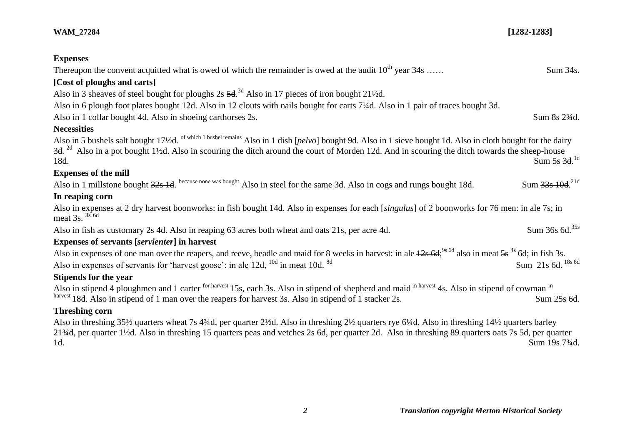| <b>Expenses</b>                                                                                                                                                                                                                                                                                                                                                                                 |                                         |  |
|-------------------------------------------------------------------------------------------------------------------------------------------------------------------------------------------------------------------------------------------------------------------------------------------------------------------------------------------------------------------------------------------------|-----------------------------------------|--|
| Thereupon the convent acquitted what is owed of which the remainder is owed at the audit $10^{th}$ year $34s$                                                                                                                                                                                                                                                                                   | <b>Sum 34s.</b>                         |  |
| [Cost of ploughs and carts]                                                                                                                                                                                                                                                                                                                                                                     |                                         |  |
| Also in 3 sheaves of steel bought for ploughs 2s 5d. <sup>3d</sup> Also in 17 pieces of iron bought 21 <sup>1</sup> /2d.                                                                                                                                                                                                                                                                        |                                         |  |
| Also in 6 plough foot plates bought 12d. Also in 12 clouts with nails bought for carts 7 <sup>1</sup> /4d. Also in 1 pair of traces bought 3d.                                                                                                                                                                                                                                                  |                                         |  |
| Also in 1 collar bought 4d. Also in shoeing carthorses 2s.                                                                                                                                                                                                                                                                                                                                      | Sum 8s 2 <sup>3</sup> / <sub>4</sub> d. |  |
| <b>Necessities</b>                                                                                                                                                                                                                                                                                                                                                                              |                                         |  |
| Also in 5 bushels salt bought 17 <sup>1</sup> /2d. <sup>of which 1 bushel remains</sup> Also in 1 dish [ <i>pelvo</i> ] bought 9d. Also in 1 sieve bought 1d. Also in cloth bought for the dairy<br>$3d2d$ Also in a pot bought 1 <sup>1</sup> / <sub>2</sub> d. Also in scouring the ditch around the court of Morden 12d. And in scouring the ditch towards the sheep-house<br>18d.           | Sum 5s $3d.1d$                          |  |
| <b>Expenses of the mill</b>                                                                                                                                                                                                                                                                                                                                                                     |                                         |  |
| Also in 1 millstone bought 32s 1d. because none was bought Also in steel for the same 3d. Also in cogs and rungs bought 18d.                                                                                                                                                                                                                                                                    | Sum 33s 10d. <sup>21d</sup>             |  |
| In reaping corn                                                                                                                                                                                                                                                                                                                                                                                 |                                         |  |
| Also in expenses at 2 dry harvest boonworks: in fish bought 14d. Also in expenses for each [singulus] of 2 boonworks for 76 men: in ale 7s; in<br>meat $\frac{3s}{s}$ . <sup>3s 6d</sup>                                                                                                                                                                                                        |                                         |  |
| Also in fish as customary 2s 4d. Also in reaping 63 acres both wheat and oats 21s, per acre 4d.                                                                                                                                                                                                                                                                                                 | Sum 36s 6d. <sup>35s</sup>              |  |
| Expenses of servants [servienter] in harvest                                                                                                                                                                                                                                                                                                                                                    |                                         |  |
| Also in expenses of one man over the reapers, and reeve, beadle and maid for 8 weeks in harvest: in ale $\frac{12}{5}$ 6d; <sup>9s 6d</sup> also in meat $\frac{5}{5}$ <sup>4s</sup> 6d; in fish 3s.                                                                                                                                                                                            |                                         |  |
| Also in expenses of servants for 'harvest goose': in ale $12d$ , $^{10d}$ in meat $10d$ . <sup>8d</sup>                                                                                                                                                                                                                                                                                         | Sum 21s 6d. <sup>18s 6d</sup>           |  |
| <b>Stipends for the year</b>                                                                                                                                                                                                                                                                                                                                                                    |                                         |  |
| Also in stipend 4 ploughmen and 1 carter <sup>for harvest</sup> 15s, each 3s. Also in stipend of shepherd and maid in harvest 4s. Also in stipend of cowman in<br>harvest 18d. Also in stipend of 1 man over the reapers for harvest 3s. Also in stipend of 1 stacker 2s.                                                                                                                       | Sum 25s 6d.                             |  |
| <b>Threshing corn</b>                                                                                                                                                                                                                                                                                                                                                                           |                                         |  |
| Also in threshing 35½ quarters wheat 7s 43⁄4d, per quarter 2½d. Also in threshing 2½ quarters rye 6¼d. Also in threshing 14½ quarters barley<br>21 <sup>3</sup> /4d, per quarter 1 <sup>1</sup> /2d. Also in threshing 15 quarters peas and vetches 2s 6d, per quarter 2d. Also in threshing 89 quarters oats 7s 5d, per quarter<br>Sum 19 <sub>s</sub> 7 <sup>3</sup> / <sub>4</sub> d.<br>1d. |                                         |  |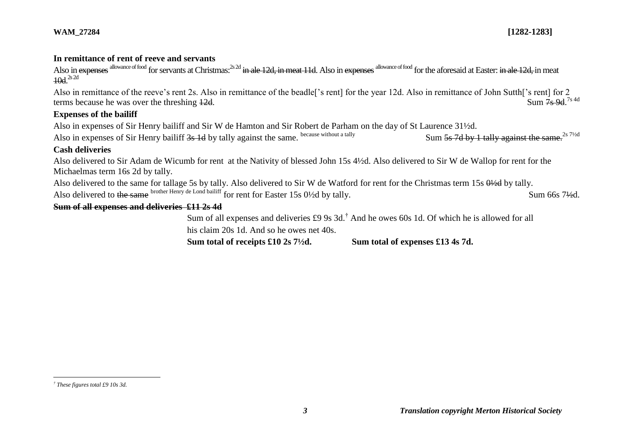#### **In remittance of rent of reeve and servants**

Also in expenses allowance of food for servants at Christmas:<sup>2s 2d</sup> in ale 12d, in meat 11d. Also in expenses allowance of food for the aforesaid at Easter: in ale 12d, in meat  $10d.<sup>2s 2d</sup>$ 

Also in remittance of the reeve's rent 2s. Also in remittance of the beadle['s rent] for the year 12d. Also in remittance of John Sutth['s rent] for 2 terms because he was over the threshing  $12d$ .  $Sum \overline{7}$ s 9d <sup>7s 4d</sup>

#### **Expenses of the bailiff**

Also in expenses of Sir Henry bailiff and Sir W de Hamton and Sir Robert de Parham on the day of St Laurence 31½d.

Also in expenses of Sir Henry bailiff 3s 1d by tally against the same. because without a tally Sum 5s 7d by 1 tally against the same.<sup>2s 71/2d</sup>

## **Cash deliveries**

Also delivered to Sir Adam de Wicumb for rent at the Nativity of blessed John 15s 4½d. Also delivered to Sir W de Wallop for rent for the Michaelmas term 16s 2d by tally.

Also delivered to the same for tallage 5s by tally. Also delivered to Sir W de Watford for rent for the Christmas term 15s  $0\frac{1}{2}$ d by tally. Also delivered to the same brother Henry de Lond bailiff for rent for Easter 15s 0½d by tally. Sum 66s 7½d.

# **Sum of all expenses and deliveries £11 2s 4d**

Sum of all expenses and deliveries £9 9s 3d.† And he owes 60s 1d. Of which he is allowed for all his claim 20s 1d. And so he owes net 40s.

**Sum total of receipts £10 2s 7½d. Sum total of expenses £13 4s 7d.**

 $\overline{a}$ 

*<sup>†</sup> These figures total £9 10s 3d.*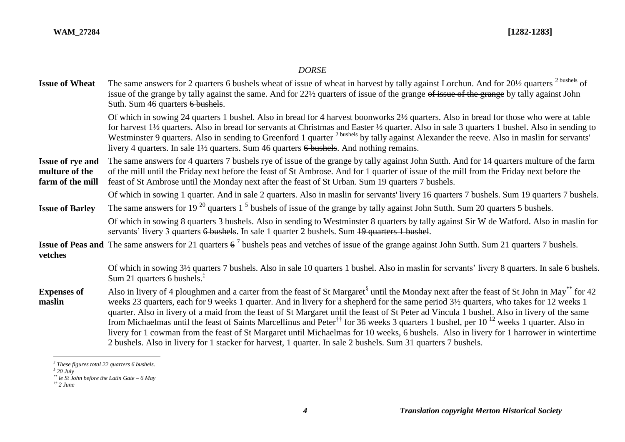#### *DORSE*

**Issue of Wheat** The same answers for 2 quarters 6 bushels wheat of issue of wheat in harvest by tally against Lorchun. And for 20½ quarters <sup>2 bushels</sup> of issue of the grange by tally against the same. And for 22½ quarters of issue of the grange of issue of the grange by tally against John Suth. Sum 46 quarters 6 bushels.

> Of which in sowing 24 quarters 1 bushel. Also in bread for 4 harvest boonworks 2½ quarters. Also in bread for those who were at table for harvest 1½ quarters. Also in bread for servants at Christmas and Easter ½ quarter. Also in sale 3 quarters 1 bushel. Also in sending to Westminster 9 quarters. Also in sending to Greenford 1 quarter <sup>2 bushels</sup> by tally against Alexander the reeve. Also in maslin for servants' livery 4 quarters. In sale 1<sup>1</sup>/<sub>2</sub> quarters. Sum 46 quarters 6 bushels. And nothing remains.

**Issue of rye and multure of the farm of the mill** The same answers for 4 quarters 7 bushels rye of issue of the grange by tally against John Sutth. And for 14 quarters multure of the farm of the mill until the Friday next before the feast of St Ambrose. And for 1 quarter of issue of the mill from the Friday next before the feast of St Ambrose until the Monday next after the feast of St Urban. Sum 19 quarters 7 bushels.

Of which in sowing 1 quarter. And in sale 2 quarters. Also in maslin for servants' livery 16 quarters 7 bushels. Sum 19 quarters 7 bushels.

**Issue of Barley** The same answers for  $\frac{19^{20}}{20}$  quarters  $\frac{1}{2}$  bushels of issue of the grange by tally against John Sutth. Sum 20 quarters 5 bushels.

Of which in sowing 8 quarters 3 bushels. Also in sending to Westminster 8 quarters by tally against Sir W de Watford. Also in maslin for servants' livery 3 quarters 6 bushels. In sale 1 quarter 2 bushels. Sum 19 quarters 1 bushel.

**Issue of Peas and** The same answers for 21 quarters  $6^7$  bushels peas and vetches of issue of the grange against John Sutth. Sum 21 quarters 7 bushels. **vetches**

> Of which in sowing 3½ quarters 7 bushels. Also in sale 10 quarters 1 bushel. Also in maslin for servants' livery 8 quarters. In sale 6 bushels. Sum 21 quarters 6 bushels.‡

#### **Expenses of maslin** Also in livery of 4 ploughmen and a carter from the feast of St Margaret<sup>§</sup> until the Monday next after the feast of St John in May\*\* for 42 weeks 23 quarters, each for 9 weeks 1 quarter. And in livery for a shepherd for the same period 3½ quarters, who takes for 12 weeks 1 quarter. Also in livery of a maid from the feast of St Margaret until the feast of St Peter ad Vincula 1 bushel. Also in livery of the same from Michaelmas until the feast of Saints Marcellinus and Peter<sup>††</sup> for 36 weeks 3 quarters <del>1 bushel</del>, per  $10^{-12}$  weeks 1 quarter. Also in livery for 1 cowman from the feast of St Margaret until Michaelmas for 10 weeks, 6 bushels. Also in livery for 1 harrower in wintertime 2 bushels. Also in livery for 1 stacker for harvest, 1 quarter. In sale 2 bushels. Sum 31 quarters 7 bushels.

 $\overline{a}$ 

*<sup>‡</sup> These figures total 22 quarters 6 bushels.*

*<sup>§</sup> 20 July*

*<sup>\*\*</sup> ie St John before the Latin Gate – 6 May*

*<sup>††</sup> 2 June*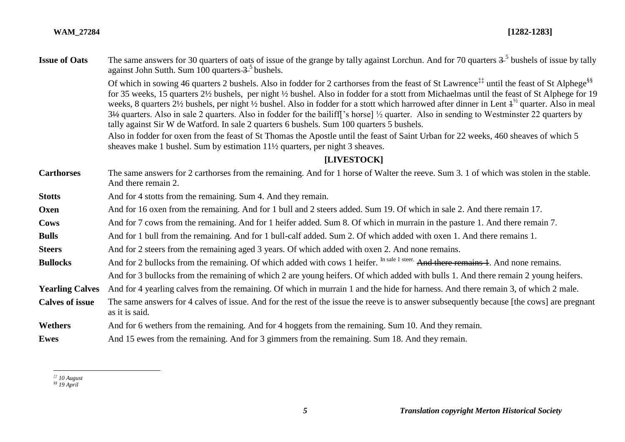| <b>Issue of Oats</b> | The same answers for 30 quarters of oats of issue of the grange by tally against Lorchun. And for 70 quarters 3 <sup>-5</sup> bushels of issue by tally           |
|----------------------|-------------------------------------------------------------------------------------------------------------------------------------------------------------------|
|                      | against John Sutth. Sum $100$ quarters $3^5$ bushels.                                                                                                             |
|                      | Of which in sowing 46 quarters 2 bushels. Also in fodder for 2 carthorses from the feast of St Lawrence <sup>##</sup> until the feast of St Alphege <sup>§§</sup> |

for 35 weeks, 15 quarters 2½ bushels, per night ½ bushel. Also in fodder for a stott from Michaelmas until the feast of St Alphege for 19 weeks, 8 quarters  $2\frac{1}{2}$  bushels, per night  $\frac{1}{2}$  bushel. Also in fodder for a stott which harrowed after dinner in Lent  $1^{\frac{1}{2}}$  quarter. Also in meal 3½ quarters. Also in sale 2 quarters. Also in fodder for the bailiff['s horse] ½ quarter. Also in sending to Westminster 22 quarters by tally against Sir W de Watford. In sale 2 quarters 6 bushels. Sum 100 quarters 5 bushels.

Also in fodder for oxen from the feast of St Thomas the Apostle until the feast of Saint Urban for 22 weeks, 460 sheaves of which 5 sheaves make 1 bushel. Sum by estimation 11½ quarters, per night 3 sheaves.

#### **[LIVESTOCK]**

**Carthorses** The same answers for 2 carthorses from the remaining. And for 1 horse of Walter the reeve. Sum 3. 1 of which was stolen in the stable. And there remain 2.

**Stotts** And for 4 stotts from the remaining. Sum 4. And they remain.

**Oxen** And for 16 oxen from the remaining. And for 1 bull and 2 steers added. Sum 19. Of which in sale 2. And there remain 17.

**Cows** And for 7 cows from the remaining. And for 1 heifer added. Sum 8. Of which in murrain in the pasture 1. And there remain 7.

**Bulls** And for 1 bull from the remaining. And for 1 bull-calf added. Sum 2. Of which added with oxen 1. And there remains 1.

**Steers** And for 2 steers from the remaining aged 3 years. Of which added with oxen 2. And none remains.

**Bullocks** And for 2 bullocks from the remaining. Of which added with cows 1 heifer. In sale 1 steer. And there remains 1. And none remains.

And for 3 bullocks from the remaining of which 2 are young heifers. Of which added with bulls 1. And there remain 2 young heifers.

**Yearling Calves** And for 4 yearling calves from the remaining. Of which in murrain 1 and the hide for harness. And there remain 3, of which 2 male.

Calves of issue The same answers for 4 calves of issue. And for the rest of the issue the reeve is to answer subsequently because [the cows] are pregnant as it is said*.*

Wethers And for 6 wethers from the remaining. And for 4 hoggets from the remaining. Sum 10. And they remain.

**Ewes** And 15 ewes from the remaining. And for 3 gimmers from the remaining. Sum 18. And they remain.

 $\overline{a}$ *‡‡ 10 August*

*<sup>§§</sup> 19 April*